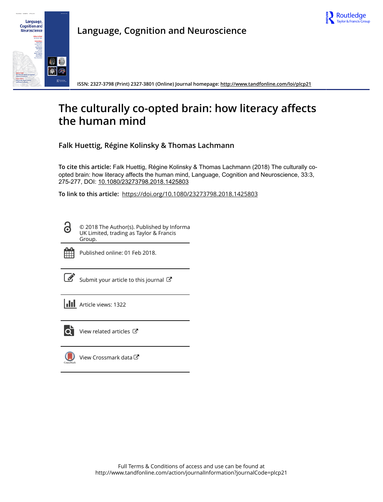



**Language, Cognition and Neuroscience**

**ISSN: 2327-3798 (Print) 2327-3801 (Online) Journal homepage:<http://www.tandfonline.com/loi/plcp21>**

## **The culturally co-opted brain: how literacy affects the human mind**

**Falk Huettig, Régine Kolinsky & Thomas Lachmann**

**To cite this article:** Falk Huettig, Régine Kolinsky & Thomas Lachmann (2018) The culturally coopted brain: how literacy affects the human mind, Language, Cognition and Neuroscience, 33:3, 275-277, DOI: [10.1080/23273798.2018.1425803](http://www.tandfonline.com/action/showCitFormats?doi=10.1080/23273798.2018.1425803)

**To link to this article:** <https://doi.org/10.1080/23273798.2018.1425803>

© 2018 The Author(s). Published by Informa UK Limited, trading as Taylor & Francis Group.



<u>යි</u>

Published online: 01 Feb 2018.

[Submit your article to this journal](http://www.tandfonline.com/action/authorSubmission?journalCode=plcp21&show=instructions)  $\mathbb{Z}$ 

**III** Article views: 1322



[View related articles](http://www.tandfonline.com/doi/mlt/10.1080/23273798.2018.1425803)  $\mathbb{Z}$ 

[View Crossmark data](http://crossmark.crossref.org/dialog/?doi=10.1080/23273798.2018.1425803&domain=pdf&date_stamp=2018-02-01)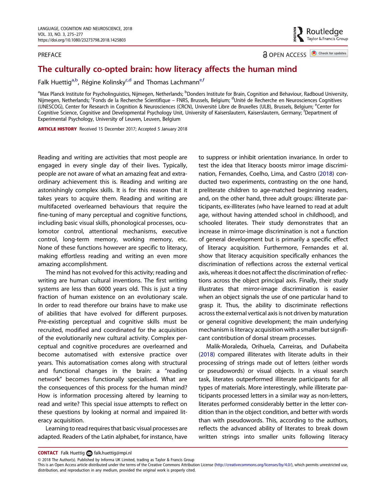## <span id="page-1-0"></span>PREFACE

Routledge<br>Taylor & Francis Group

**a** OPEN ACCESS **D** Check for updates

## The culturally co-opted brain: how literacy affects the human mind

Falk Huettig<sup>a,b</sup>, Régine Kolinsky<sup>c,d</sup> and Thomas Lachmann<sup>e,f</sup>

<sup>a</sup>Max Planck Institute for Psycholinguistics, Nijmegen, Netherlands; <sup>b</sup>Donders Institute for Brain, Cognition and Behaviour, Radboud University, Nijmegen, Netherlands; <sup>c</sup>Fonds de la Recherche Scientifique – FNRS, Brussels, Belgium; <sup>d</sup>Unité de Recherche en Neurosciences Cognitives (UNESCOG), Center for Research in Cognition & Neurosciences (CRCN), Université Libre de Bruxelles (ULB), Brussels, Belgium; <sup>e</sup>Center for Cognitive Science, Cognitive and Developmental Psychology Unit, University of Kaiserslautern, Kaiserslautern, Germany; <sup>f</sup>Department of Experimental Psychology, University of Leuven, Leuven, Belgium

ARTICLE HISTORY Received 15 December 2017; Accepted 5 January 2018

Reading and writing are activities that most people are engaged in every single day of their lives. Typically, people are not aware of what an amazing feat and extraordinary achievement this is. Reading and writing are astonishingly complex skills. It is for this reason that it takes years to acquire them. Reading and writing are multifaceted overlearned behaviours that require the fine-tuning of many perceptual and cognitive functions, including basic visual skills, phonological processes, oculomotor control, attentional mechanisms, executive control, long-term memory, working memory, etc. None of these functions however are specific to literacy, making effortless reading and writing an even more amazing accomplishment.

The mind has not evolved for this activity; reading and writing are human cultural inventions. The first writing systems are less than 6000 years old. This is just a tiny fraction of human existence on an evolutionary scale. In order to read therefore our brains have to make use of abilities that have evolved for different purposes. Pre-existing perceptual and cognitive skills must be recruited, modified and coordinated for the acquisition of the evolutionarily new cultural activity. Complex perceptual and cognitive procedures are overlearned and become automatised with extensive practice over years. This automatisation comes along with structural and functional changes in the brain: a "reading network" becomes functionally specialised. What are the consequences of this process for the human mind? How is information processing altered by learning to read and write? This special issue attempts to reflect on these questions by looking at normal and impaired literacy acquisition.

Learning to read requires that basic visual processes are adapted. Readers of the Latin alphabet, for instance, have to suppress or inhibit orientation invariance. In order to test the idea that literacy boosts mirror image discrimination, Fernandes, Coelho, Lima, and Castro ([2018](#page-3-0)) conducted two experiments, contrasting on the one hand, preliterate children to age-matched beginning readers, and, on the other hand, three adult groups: illiterate participants, ex-illiterates (who have learned to read at adult age, without having attended school in childhood), and schooled literates. Their study demonstrates that an increase in mirror-image discrimination is not a function of general development but is primarily a specific effect of literacy acquisition. Furthermore, Fernandes et al. show that literacy acquisition specifically enhances the discrimination of reflections across the external vertical axis, whereas it does not affect the discrimination of reflections across the object principal axis. Finally, their study illustrates that mirror-image discrimination is easier when an object signals the use of one particular hand to grasp it. Thus, the ability to discriminate reflections across the external vertical axis is not driven by maturation or general cognitive development; the main underlying mechanism is literacy acquisition with a smaller but significant contribution of dorsal stream processes.

Malik-Moraleda, Orihuela, Carreiras, and Duñabeita ([2018\)](#page-3-0) compared illiterates with literate adults in their processing of strings made out of letters (either words or pseudowords) or visual objects. In a visual search task, literates outperformed illiterate participants for all types of materials. More interestingly, while illiterate participants processed letters in a similar way as non-letters, literates performed considerably better in the letter condition than in the object condition, and better with words than with pseudowords. This, according to the authors, reflects the advanced ability of literates to break down written strings into smaller units following literacy

**CONTACT** Falk Huettig **a** [falk.huettig@mpi.nl](mailto:falk.huettig@mpi.nl)

<sup>© 2018</sup> The Author(s). Published by Informa UK Limited, trading as Taylor & Francis Group

This is an Open Access article distributed under the terms of the Creative Commons Attribution License (<http://creativecommons.org/licenses/by/4.0/>), which permits unrestricted use, distribution, and reproduction in any medium, provided the original work is properly cited.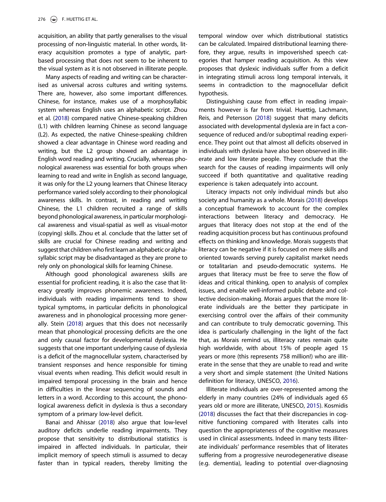<span id="page-2-0"></span>acquisition, an ability that partly generalises to the visual processing of non-linguistic material. In other words, literacy acquisition promotes a type of analytic, partbased processing that does not seem to be inherent to the visual system as it is not observed in illiterate people.

Many aspects of reading and writing can be characterised as universal across cultures and writing systems. There are, however, also some important differences. Chinese, for instance, makes use of a morphosyllabic system whereas English uses an alphabetic script. Zhou et al. ([2018\)](#page-3-0) compared native Chinese-speaking children (L1) with children learning Chinese as second language (L2). As expected, the native Chinese-speaking children showed a clear advantage in Chinese word reading and writing, but the L2 group showed an advantage in English word reading and writing. Crucially, whereas phonological awareness was essential for both groups when learning to read and write in English as second language, it was only for the L2 young learners that Chinese literacy performance varied solely according to their phonological awareness skills. In contrast, in reading and writing Chinese, the L1 children recruited a range of skills beyond phonological awareness, in particular morphological awareness and visual-spatial as well as visual-motor (copying) skills. Zhou et al. conclude that the latter set of skills are crucial for Chinese reading and writing and suggest that children whofirst learn an alphabetic or alphasyllabic script may be disadvantaged as they are prone to rely only on phonological skills for learning Chinese.

Although good phonological awareness skills are essential for proficient reading, it is also the case that literacy greatly improves phonemic awareness. Indeed, individuals with reading impairments tend to show typical symptoms, in particular deficits in phonological awareness and in phonological processing more generally. Stein [\(2018\)](#page-3-0) argues that this does not necessarily mean that phonological processing deficits are the one and only causal factor for developmental dyslexia. He suggests that one important underlying cause of dyslexia is a deficit of the magnocellular system, characterised by transient responses and hence responsible for timing visual events when reading. This deficit would result in impaired temporal processing in the brain and hence in difficulties in the linear sequencing of sounds and letters in a word. According to this account, the phonological awareness deficit in dyslexia is thus a secondary symptom of a primary low-level deficit.

Banai and Ahissar [\(2018](#page-3-0)) also argue that low-level auditory deficits underlie reading impairments. They propose that sensitivity to distributional statistics is impaired in affected individuals. In particular, their implicit memory of speech stimuli is assumed to decay faster than in typical readers, thereby limiting the temporal window over which distributional statistics can be calculated. Impaired distributional learning therefore, they argue, results in impoverished speech categories that hamper reading acquisition. As this view proposes that dyslexic individuals suffer from a deficit in integrating stimuli across long temporal intervals, it seems in contradiction to the magnocellular deficit hypothesis.

Distinguishing cause from effect in reading impairments however is far from trivial. Huettig, Lachmann, Reis, and Petersson [\(2018\)](#page-3-0) suggest that many deficits associated with developmental dyslexia are in fact a consequence of reduced and/or suboptimal reading experience. They point out that almost all deficits observed in individuals with dyslexia have also been observed in illiterate and low literate people. They conclude that the search for the causes of reading impairments will only succeed if both quantitative and qualitative reading experience is taken adequately into account.

Literacy impacts not only individual minds but also society and humanity as a whole. Morais [\(2018\)](#page-3-0) develops a conceptual framework to account for the complex interactions between literacy and democracy. He argues that literacy does not stop at the end of the reading acquisition process but has continuous profound effects on thinking and knowledge. Morais suggests that literacy can be negative if it is focused on mere skills and oriented towards serving purely capitalist market needs or totalitarian and pseudo-democratic systems. He argues that literacy must be free to serve the flow of ideas and critical thinking, open to analysis of complex issues, and enable well-informed public debate and collective decision-making. Morais argues that the more literate individuals are the better they participate in exercising control over the affairs of their community and can contribute to truly democratic governing. This idea is particularly challenging in the light of the fact that, as Morais remind us, illiteracy rates remain quite high worldwide, with about 15% of people aged 15 years or more (this represents 758 million!) who are illiterate in the sense that they are unable to read and write a very short and simple statement (the United Nations definition for literacy, UNESCO, [2016](#page-3-0)).

Illiterate individuals are over-represented among the elderly in many countries (24% of individuals aged 65 years old or more are illiterate, UNESCO, [2015\)](#page-3-0). Kosmidis ([2018](#page-3-0)) discusses the fact that their discrepancies in cognitive functioning compared with literates calls into question the appropriateness of the cognitive measures used in clinical assessments. Indeed in many tests illiterate individuals' performance resembles that of literates suffering from a progressive neurodegenerative disease (e.g. dementia), leading to potential over-diagnosing